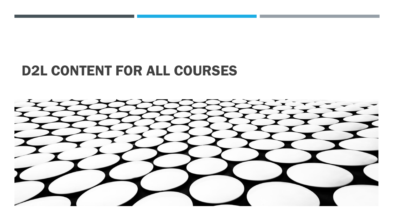# D2L CONTENT FOR ALL COURSES

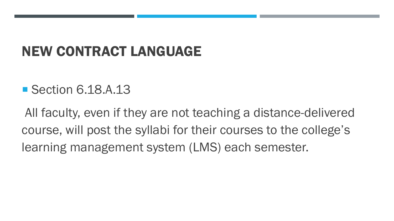# NEW CONTRACT LANGUAGE

## ■ Section 6.18.A.13

All faculty, even if they are not teaching a distance-delivered course, will post the syllabi for their courses to the college's learning management system (LMS) each semester.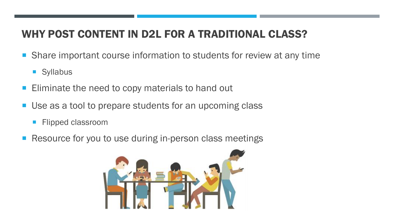### WHY POST CONTENT IN D2L FOR A TRADITIONAL CLASS?

- **Share important course information to students for review at any time** 
	- Syllabus
- **Eliminate the need to copy materials to hand out**
- Use as a tool to prepare students for an upcoming class
	- **Flipped classroom**
- Resource for you to use during in-person class meetings

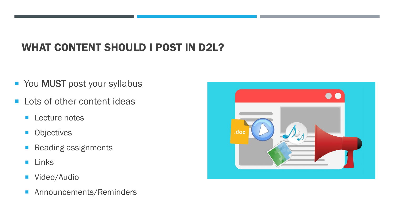## WHAT CONTENT SHOULD I POST IN D2L?

- You MUST post your syllabus
- **Lots of other content ideas** 
	- **Lecture notes**
	- **Objectives**
	- **Reading assignments**
	- **Links**
	- **Video/Audio**
	- **Announcements/Reminders**

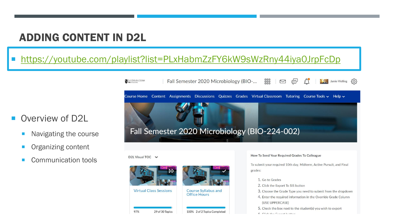#### ADDING CONTENT IN D2L

#### <https://youtube.com/playlist?list=PLxHabmZzFY6kW9sWzRny44iya0JrpFcDp>

#### Overview of D2L

- Navigating the course
- **Organizing content**
- Communication tools

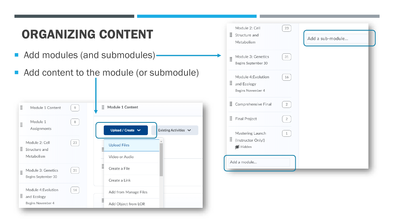| <b>ORGANIZING CONTENT</b>                                               |                                                                                          | Module 2: Cell<br>23<br>Structure and<br>Add a sub-module<br>Metabolism                           |
|-------------------------------------------------------------------------|------------------------------------------------------------------------------------------|---------------------------------------------------------------------------------------------------|
| Add modules (and submodules)-                                           |                                                                                          | 31<br>Module 3: Genetics<br>Begins September 30                                                   |
|                                                                         | Add content to the module (or submodule)                                                 | Module 4: Evolution<br>16<br>: and Ecology<br>Begins November 4                                   |
| H<br>Module 1 Content<br>9                                              | :: Module 1 Content                                                                      | Comprehensive Final<br>$\overline{2}$                                                             |
| 8<br>Module 1<br>$\ddot{\mathrm{H}}$<br>Assignments                     |                                                                                          | : Final Project<br>$\overline{2}$                                                                 |
| Module 2: Cell<br>23<br>$\ddot{\textbf{H}}$ Structure and<br>Metabolism | Upload / Create $\vee$<br>Existing Activities V<br><b>Upload Files</b><br>Video or Audio | Mastering Launch<br>$\begin{array}{ c c } \hline 1 \end{array}$<br>: (Instructor Only!)<br>Hidden |
| 31<br>Module 3: Genetics<br>Begins September 30                         | ä<br>Create a File<br>Create a Link                                                      | Add a module                                                                                      |
| Module 4: Evolution<br>16<br>: and Ecology                              | Add from Manage Files                                                                    |                                                                                                   |
| Begins November 4                                                       | Add Object from LOR                                                                      |                                                                                                   |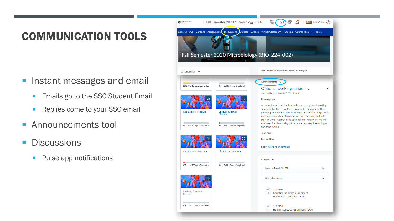### COMMUNICATION TOOLS

- **Instant messages and email** 
	- **Emails go to the SSC Student Email**
	- Replies come to your SSC email
- **Announcements tool**
- **Discussions** 
	- **Pulse app notifications**